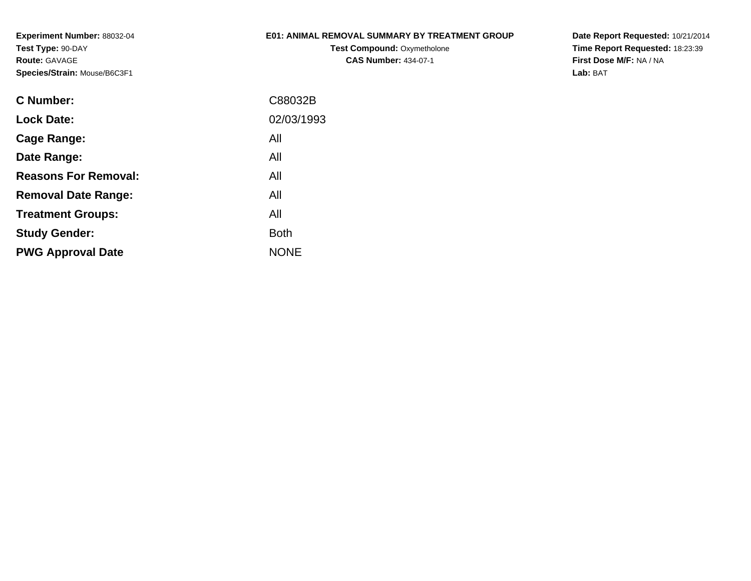**Experiment Number:** 88032-04**Test Type:** 90-DAY**Route:** GAVAGE**Species/Strain:** Mouse/B6C3F1

# **E01: ANIMAL REMOVAL SUMMARY BY TREATMENT GROUP**

**Test Compound: Oxymetholone CAS Number:** 434-07-1

**Date Report Requested:** 10/21/2014 **Time Report Requested:** 18:23:39**First Dose M/F:** NA / NA**Lab:** BAT

| C88032B     |
|-------------|
| 02/03/1993  |
| All         |
| All         |
| All         |
| All         |
| All         |
| <b>Both</b> |
| <b>NONE</b> |
|             |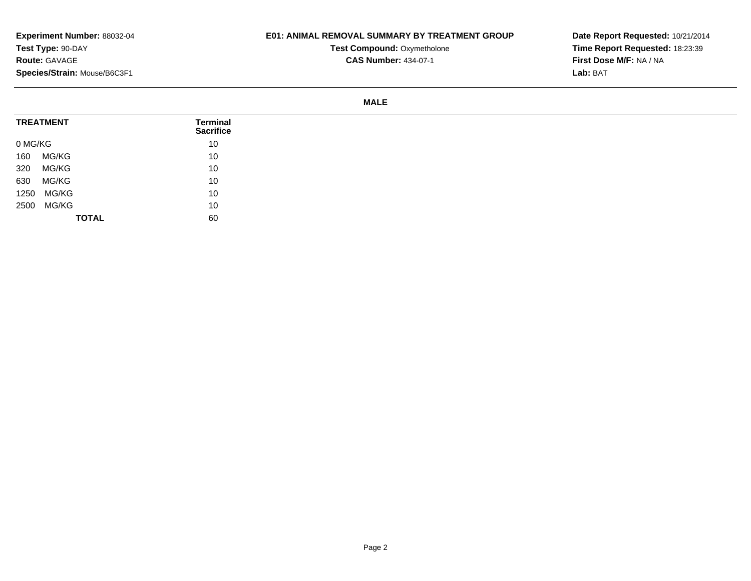## **E01: ANIMAL REMOVAL SUMMARY BY TREATMENT GROUP**

**Test Compound: Oxymetholone CAS Number:** 434-07-1

**Date Report Requested:** 10/21/2014**Time Report Requested:** 18:23:39**First Dose M/F:** NA / NA**Lab:** BAT

#### **MALE**

| <b>TREATMENT</b> | <b>Terminal</b><br><b>Sacrifice</b> |
|------------------|-------------------------------------|
| 0 MG/KG          | 10                                  |
| MG/KG<br>160     | 10                                  |
| MG/KG<br>320     | 10                                  |
| 630<br>MG/KG     | 10                                  |
| MG/KG<br>1250    | 10                                  |
| MG/KG<br>2500    | 10                                  |
| <b>TOTAL</b>     | 60                                  |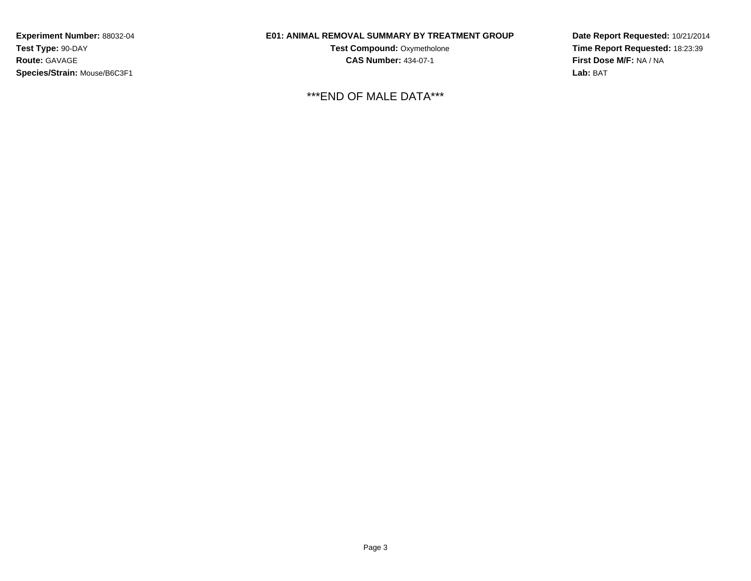**Experiment Number:** 88032-04**Test Type:** 90-DAY**Route:** GAVAGE**Species/Strain:** Mouse/B6C3F1

## **E01: ANIMAL REMOVAL SUMMARY BY TREATMENT GROUP**

**Test Compound:** Oxymetholone**CAS Number:** 434-07-1

\*\*\*END OF MALE DATA\*\*\*

**Date Report Requested:** 10/21/2014**Time Report Requested:** 18:23:39**First Dose M/F:** NA / NA**Lab:** BAT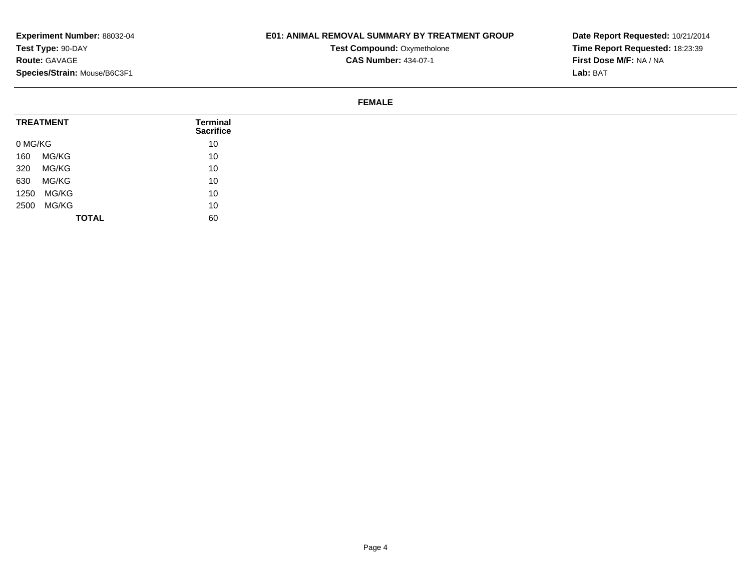## **E01: ANIMAL REMOVAL SUMMARY BY TREATMENT GROUP**

**Test Compound: Oxymetholone CAS Number:** 434-07-1

**Date Report Requested:** 10/21/2014**Time Report Requested:** 18:23:39**First Dose M/F:** NA / NA**Lab:** BAT

#### **FEMALE**

| <b>TREATMENT</b> | <b>Terminal</b><br><b>Sacrifice</b> |
|------------------|-------------------------------------|
| 0 MG/KG          | 10                                  |
| MG/KG<br>160     | 10                                  |
| MG/KG<br>320     | 10                                  |
| MG/KG<br>630     | 10                                  |
| 1250 MG/KG       | 10                                  |
| 2500 MG/KG       | 10                                  |
| <b>TOTAL</b>     | 60                                  |